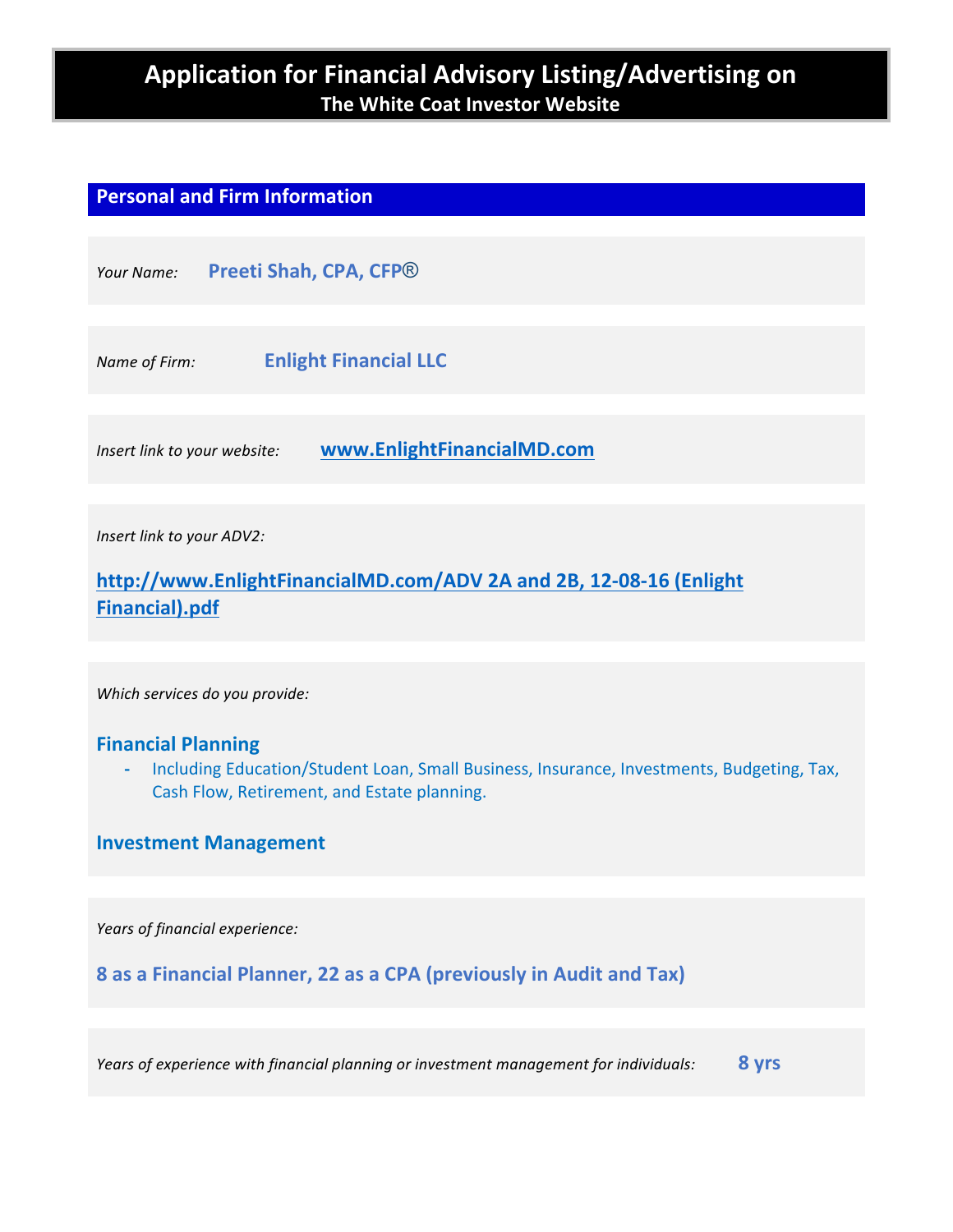# **Application for Financial Advisory Listing/Advertising on The White Coat Investor Website**

# **Personal and Firm Information**

| Your Name:                   | Preeti Shah, CPA, CFP® |                              |
|------------------------------|------------------------|------------------------------|
|                              |                        |                              |
| Name of Firm:                |                        | <b>Enlight Financial LLC</b> |
|                              |                        |                              |
| Insert link to your website: |                        | www.EnlightFinancialMD.com   |
|                              |                        |                              |
| Insert link to your ADV2:    |                        |                              |

http://www.EnlightFinancialMD.com/ADV 2A and 2B, 12-08-16 (Enlight **Financial).pdf**

*Which services do you provide:*

## **Financial Planning**

- Including Education/Student Loan, Small Business, Insurance, Investments, Budgeting, Tax, Cash Flow, Retirement, and Estate planning.

## **Investment Management**

Years of financial experience:

**8** as a Financial Planner, 22 as a CPA (previously in Audit and Tax)

*Years of experience with financial planning or investment management for individuals:* 8 yrs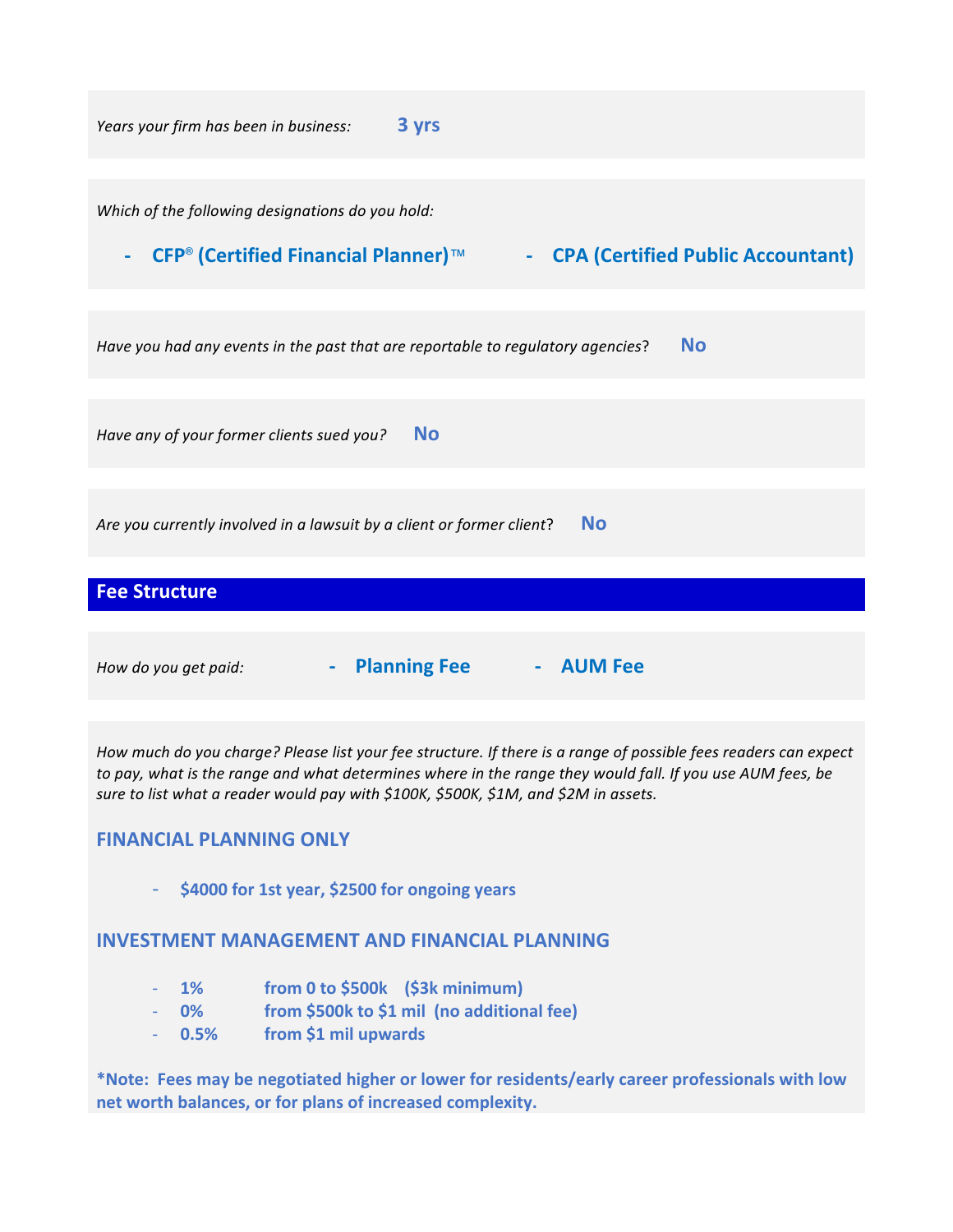

How much do you charge? Please list your fee structure. If there is a range of possible fees readers can expect to pay, what is the range and what determines where in the range they would fall. If you use AUM fees, be sure to list what a reader would pay with \$100K, \$500K, \$1M, and \$2M in assets.

# **FINANCIAL PLANNING ONLY**

\$4000 for 1st year, \$2500 for ongoing years

# **INVESTMENT MANAGEMENT AND FINANCIAL PLANNING**

- **1% from 0 to \$500k (\$3k minimum)**
- 0% from \$500k to \$1 mil (no additional fee)
- **0.5% from \$1 mil upwards**

\*Note: Fees may be negotiated higher or lower for residents/early career professionals with low net worth balances, or for plans of increased complexity.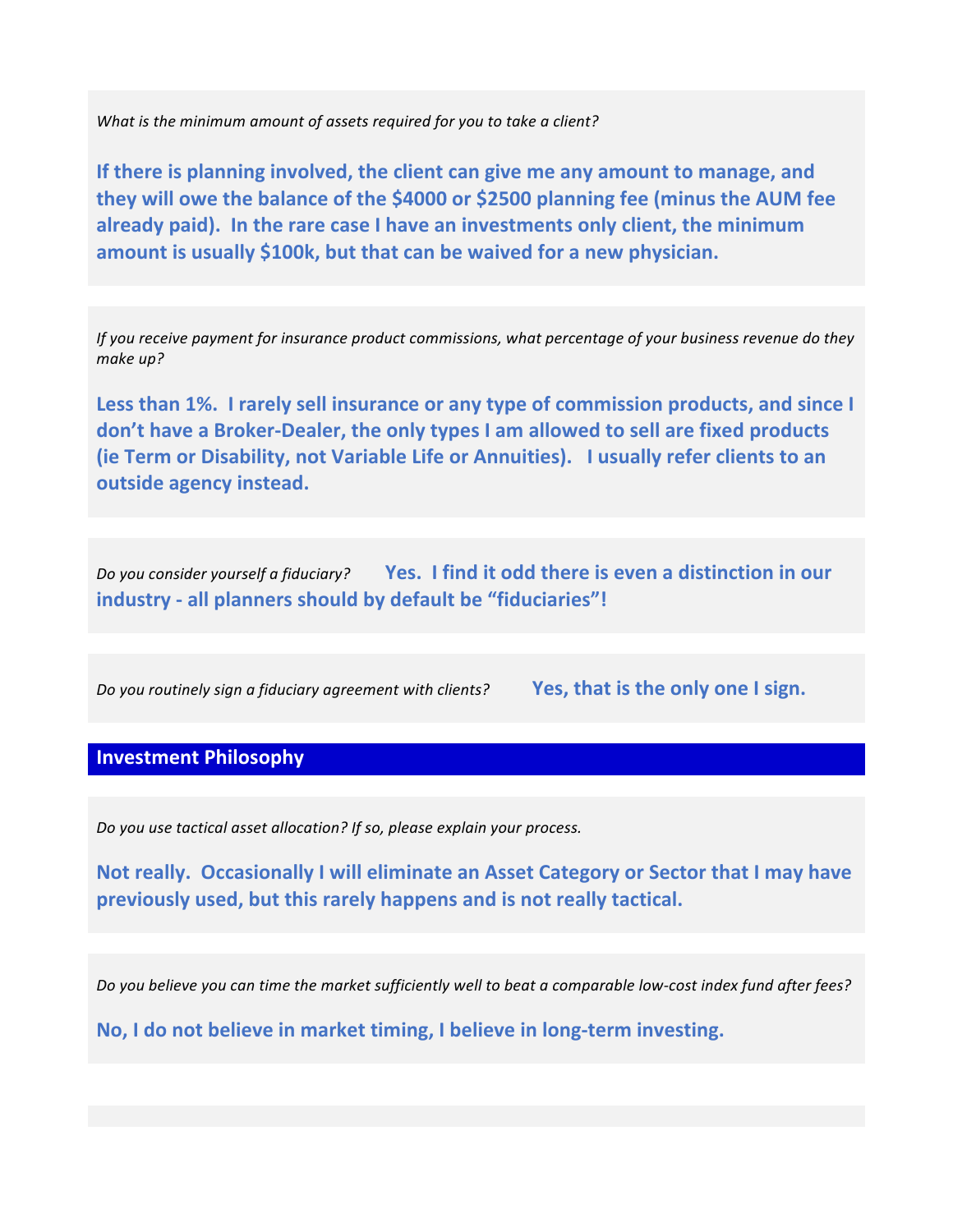What is the minimum amount of assets required for you to take a client?

**If there is planning involved, the client can give me any amount to manage, and they will owe the balance of the \$4000 or \$2500 planning fee (minus the AUM fee** already paid). In the rare case I have an investments only client, the minimum amount is usually \$100k, but that can be waived for a new physician.

*If* you receive payment for insurance product commissions, what percentage of your business revenue do they make up?

Less than 1%. I rarely sell insurance or any type of commission products, and since I don't have a Broker-Dealer, the only types I am allowed to sell are fixed products **(ie Term or Disability, not Variable Life or Annuities). I usually refer clients to an outside agency instead.** 

*Do you consider yourself a fiduciary?* Yes. I find it odd there is even a distinction in our **industry** - all planners should by default be "fiduciaries"!

*Do you routinely sign a fiduciary agreement with clients?* **Yes, that is the only one I sign.**

## **Investment Philosophy**

*Do you use tactical asset allocation?* If so, please explain your process.

**Not really. Occasionally I will eliminate an Asset Category or Sector that I may have** previously used, but this rarely happens and is not really tactical.

Do you believe you can time the market sufficiently well to beat a comparable low-cost index fund after fees?

**No, I do not believe in market timing, I believe in long-term investing.**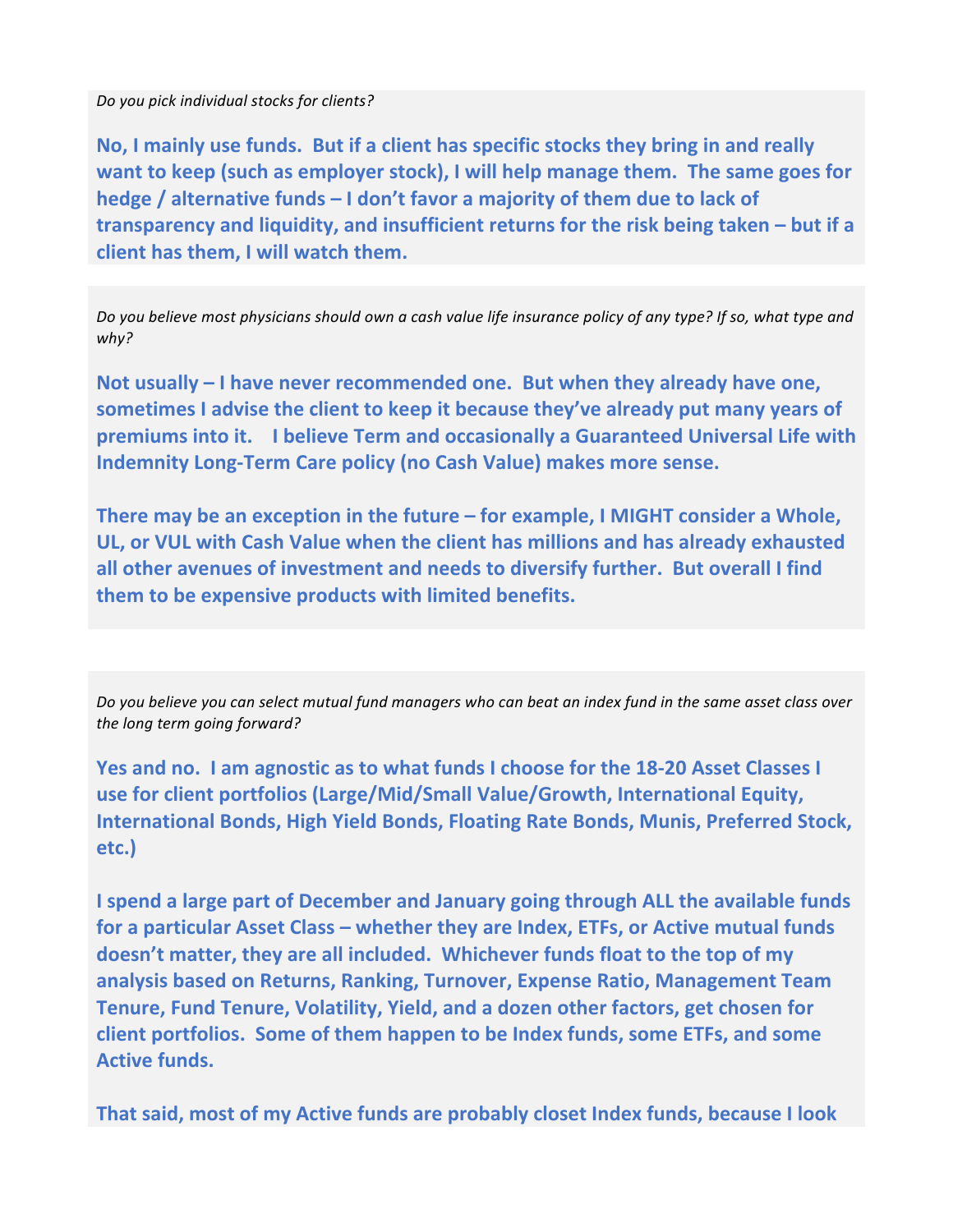*Do you pick individual stocks for clients?* 

No, I mainly use funds. But if a client has specific stocks they bring in and really **want to keep (such as employer stock), I will help manage them. The same goes for hedge** / alternative funds – I don't favor a majority of them due to lack of transparency and liquidity, and insufficient returns for the risk being taken – but if a **client has them.** I will watch them.

*Do* you believe most physicians should own a cash value life insurance policy of any type? If so, what type and why?

Not usually – I have never recommended one. But when they already have one, sometimes I advise the client to keep it because they've already put many years of **premiums into it. I believe Term and occasionally a Guaranteed Universal Life with Indemnity Long-Term Care policy (no Cash Value) makes more sense.** 

**There may be an exception in the future – for example, I MIGHT consider a Whole,** UL, or VUL with Cash Value when the client has millions and has already exhausted all other avenues of investment and needs to diversify further. But overall I find **them to be expensive products with limited benefits.** 

Do you believe you can select mutual fund managers who can beat an index fund in the same asset class over the *long* term going forward?

**Yes and no. I am agnostic as to what funds I choose for the 18-20 Asset Classes I** use for client portfolios (Large/Mid/Small Value/Growth, International Equity, **International Bonds, High Yield Bonds, Floating Rate Bonds, Munis, Preferred Stock, etc.)** 

**I** spend a large part of December and January going through ALL the available funds for a particular Asset Class – whether they are Index, ETFs, or Active mutual funds doesn't matter, they are all included. Whichever funds float to the top of my analysis based on Returns, Ranking, Turnover, Expense Ratio, Management Team Tenure, Fund Tenure, Volatility, Yield, and a dozen other factors, get chosen for **client portfolios. Some of them happen to be Index funds, some ETFs, and some Active funds.** 

**That said, most of my Active funds are probably closet Index funds, because I look**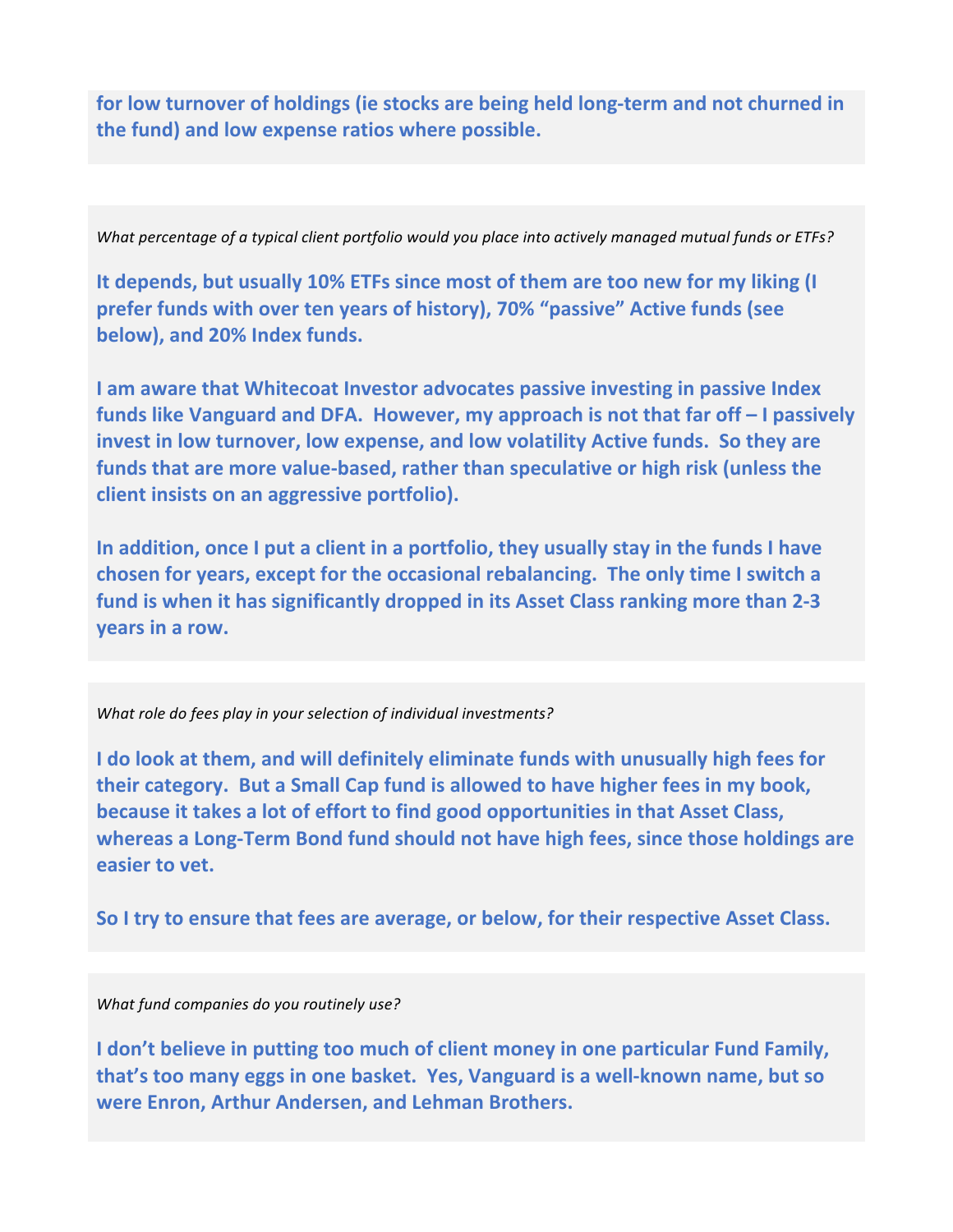for low turnover of holdings (ie stocks are being held long-term and not churned in **the fund) and low expense ratios where possible.** 

*What percentage of a typical client portfolio would you place into actively managed mutual funds or ETFs?* 

It depends, but usually 10% ETFs since most of them are too new for my liking (I **prefer funds with over ten years of history), 70% "passive" Active funds (see below), and 20% Index funds.** 

**I** am aware that Whitecoat Investor advocates passive investing in passive Index funds like Vanguard and DFA. However, my approach is not that far off - I passively invest in low turnover, low expense, and low volatility Active funds. So they are funds that are more value-based, rather than speculative or high risk (unless the **client insists on an aggressive portfolio).** 

In addition, once I put a client in a portfolio, they usually stay in the funds I have chosen for years, except for the occasional rebalancing. The only time I switch a fund is when it has significantly dropped in its Asset Class ranking more than 2-3 **years in a row.** 

#### What role do fees play in your selection of individual investments?

**I** do look at them, and will definitely eliminate funds with unusually high fees for **their category.** But a Small Cap fund is allowed to have higher fees in my book, **because it takes a lot of effort to find good opportunities in that Asset Class,** whereas a Long-Term Bond fund should not have high fees, since those holdings are **easier to vet.** 

So I try to ensure that fees are average, or below, for their respective Asset Class.

#### *What fund companies do you routinely use?*

I don't believe in putting too much of client money in one particular Fund Family, that's too many eggs in one basket. Yes, Vanguard is a well-known name, but so were Enron, Arthur Andersen, and Lehman Brothers.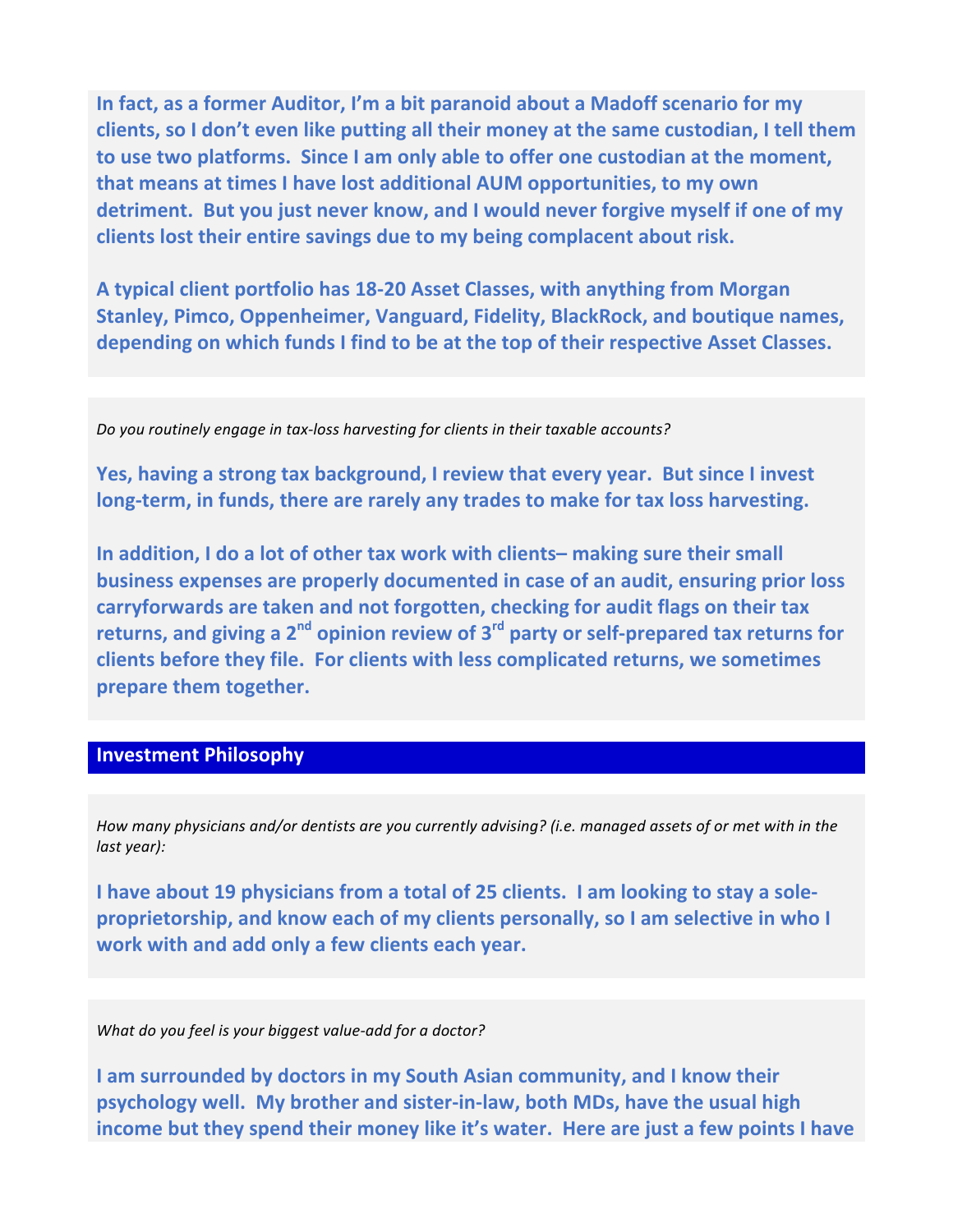In fact, as a former Auditor, I'm a bit paranoid about a Madoff scenario for my clients, so I don't even like putting all their money at the same custodian, I tell them to use two platforms. Since I am only able to offer one custodian at the moment, **that means at times I have lost additional AUM opportunities, to my own** detriment. But you just never know, and I would never forgive myself if one of my clients lost their entire savings due to my being complacent about risk.

A typical client portfolio has 18-20 Asset Classes, with anything from Morgan **Stanley, Pimco, Oppenheimer, Vanguard, Fidelity, BlackRock, and boutique names,** depending on which funds I find to be at the top of their respective Asset Classes.

*Do you routinely engage in tax-loss harvesting for clients in their taxable accounts?* 

**Yes, having a strong tax background, I review that every year. But since I invest** long-term, in funds, there are rarely any trades to make for tax loss harvesting.

**In addition, I do a lot of other tax work with clients– making sure their small business expenses are properly documented in case of an audit, ensuring prior loss** carryforwards are taken and not forgotten, checking for audit flags on their tax returns, and giving a 2<sup>nd</sup> opinion review of 3<sup>rd</sup> party or self-prepared tax returns for **clients before they file. For clients with less complicated returns, we sometimes prepare them together.** 

# **Investment Philosophy**

*How* many physicians and/or dentists are you currently advising? (i.e. managed assets of or met with in the *last* year):

**I** have about 19 physicians from a total of 25 clients. I am looking to stay a sole**proprietorship, and know each of my clients personally, so I am selective in who I work** with and add only a few clients each year.

*What do you feel is your biggest value-add for a doctor?* 

**I** am surrounded by doctors in my South Asian community, and I know their **psychology well.** My brother and sister-in-law, both MDs, have the usual high **income but they spend their money like it's water. Here are just a few points I have**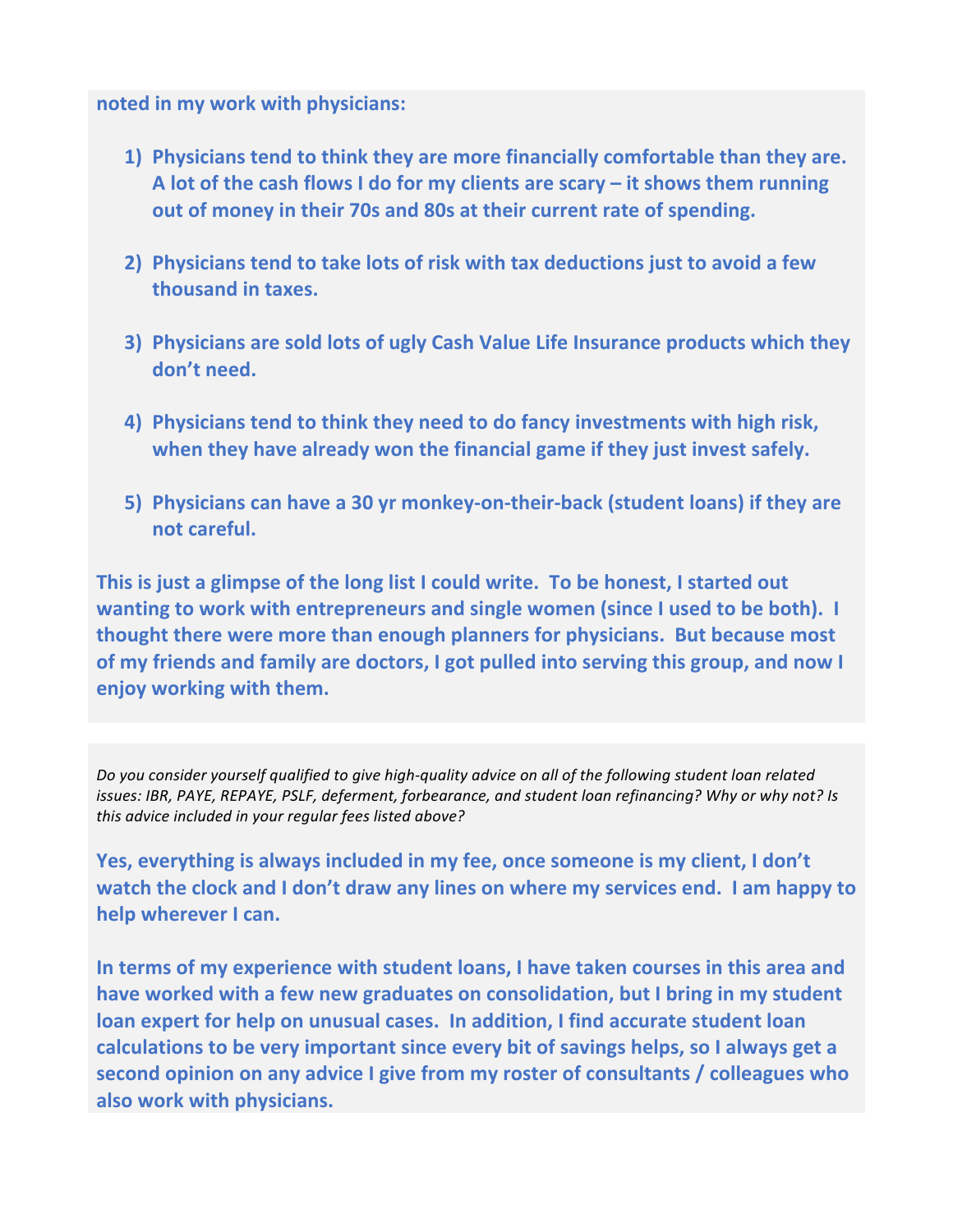## **noted in my work with physicians:**

- **1)** Physicians tend to think they are more financially comfortable than they are. A lot of the cash flows I do for my clients are scary – it shows them running **out of money in their 70s and 80s at their current rate of spending.**
- **2)** Physicians tend to take lots of risk with tax deductions just to avoid a few **thousand in taxes.**
- **3)** Physicians are sold lots of ugly Cash Value Life Insurance products which they don't need.
- **4) Physicians tend to think they need to do fancy investments with high risk,** when they have already won the financial game if they just invest safely.
- **5)** Physicians can have a 30 yr monkey-on-their-back (student loans) if they are **not careful.**

This is just a glimpse of the long list I could write. To be honest, I started out **wanting to work with entrepreneurs and single women (since I used to be both).** I **thought there were more than enough planners for physicians. But because most** of my friends and family are doctors, I got pulled into serving this group, and now I **enjoy working with them.** 

Do you consider yourself qualified to give high-quality advice on all of the following student loan related *issues:* IBR, PAYE, REPAYE, PSLF, deferment, forbearance, and student loan refinancing? Why or why not? Is this advice included in your regular fees listed above?

**Yes, everything is always included in my fee, once someone is my client, I don't** watch the clock and I don't draw any lines on where my services end. I am happy to **help wherever I can.** 

In terms of my experience with student loans, I have taken courses in this area and have worked with a few new graduates on consolidation, but I bring in my student **loan expert for help on unusual cases. In addition, I find accurate student loan** calculations to be very important since every bit of savings helps, so I always get a second opinion on any advice I give from my roster of consultants / colleagues who also work with physicians.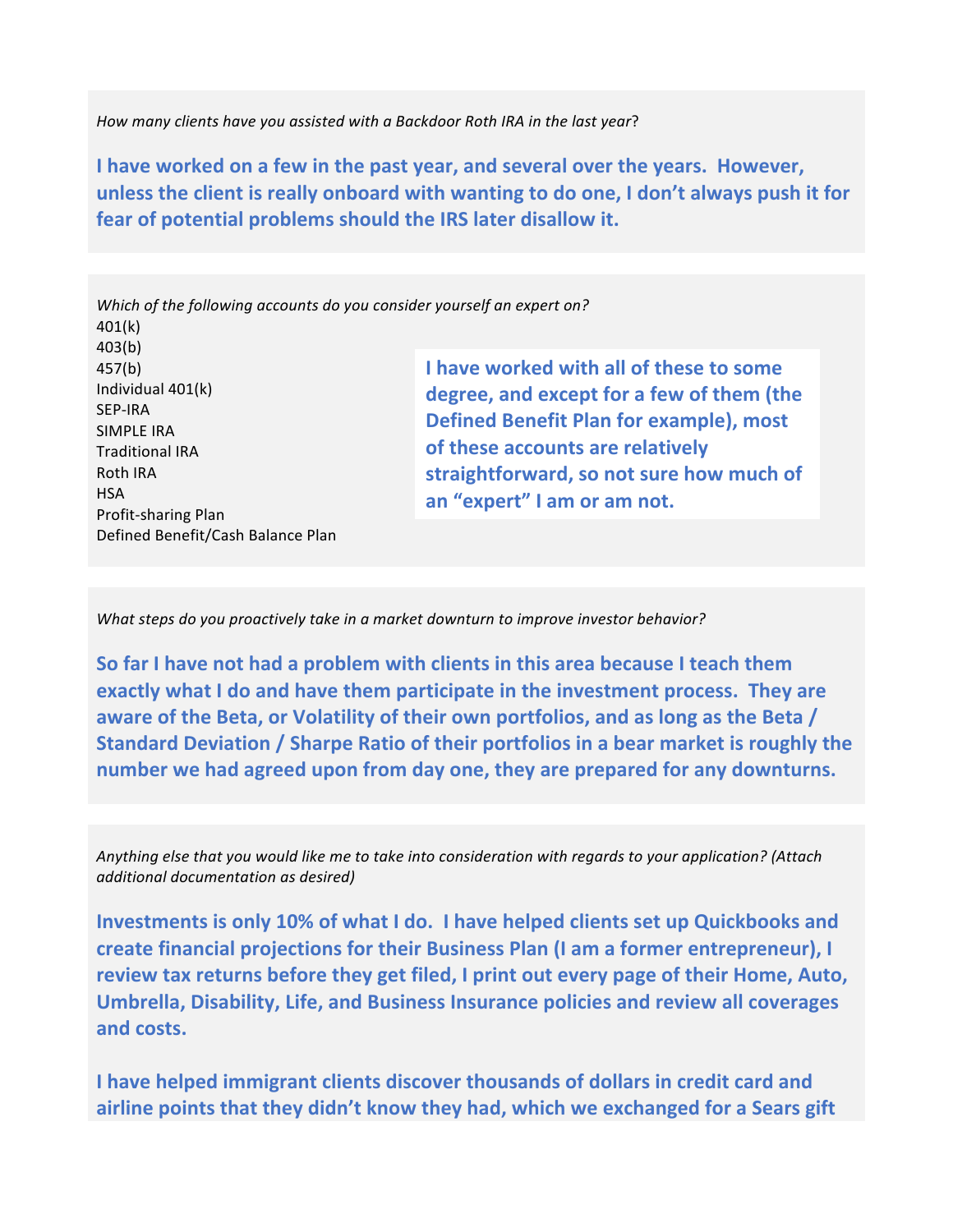How many clients have you assisted with a Backdoor Roth IRA in the last year?

**I** have worked on a few in the past year, and several over the years. However, **unless the client is really onboard with wanting to do one, I don't always push it for** fear of potential problems should the IRS later disallow it.

Which of the following accounts do you consider yourself an expert on? 401(k) 403(b) 457(b) Individual  $401(k)$ SEP-IRA SIMPLE IRA **Traditional IRA Roth IRA HSA** Profit-sharing Plan Defined Benefit/Cash Balance Plan **I** have worked with all of these to some degree, and except for a few of them (the Defined Benefit Plan for example), most **of these accounts are relatively** straightforward, so not sure how much of an "expert" I am or am not.

*What steps do you proactively take in a market downturn to improve investor behavior?* 

**So far I have not had a problem with clients in this area because I teach them exactly what I do and have them participate in the investment process. They are aware of the Beta, or Volatility of their own portfolios, and as long as the Beta / Standard Deviation / Sharpe Ratio of their portfolios in a bear market is roughly the** number we had agreed upon from day one, they are prepared for any downturns.

*Anything* else that you would like me to take into consideration with regards to your application? (Attach *additional documentation as desired)* 

**Investments is only 10% of what I do. I have helped clients set up Quickbooks and** create financial projections for their Business Plan (I am a former entrepreneur), I review tax returns before they get filed, I print out every page of their Home, Auto, Umbrella, Disability, Life, and Business Insurance policies and review all coverages and costs.

**I** have helped immigrant clients discover thousands of dollars in credit card and airline points that they didn't know they had, which we exchanged for a Sears gift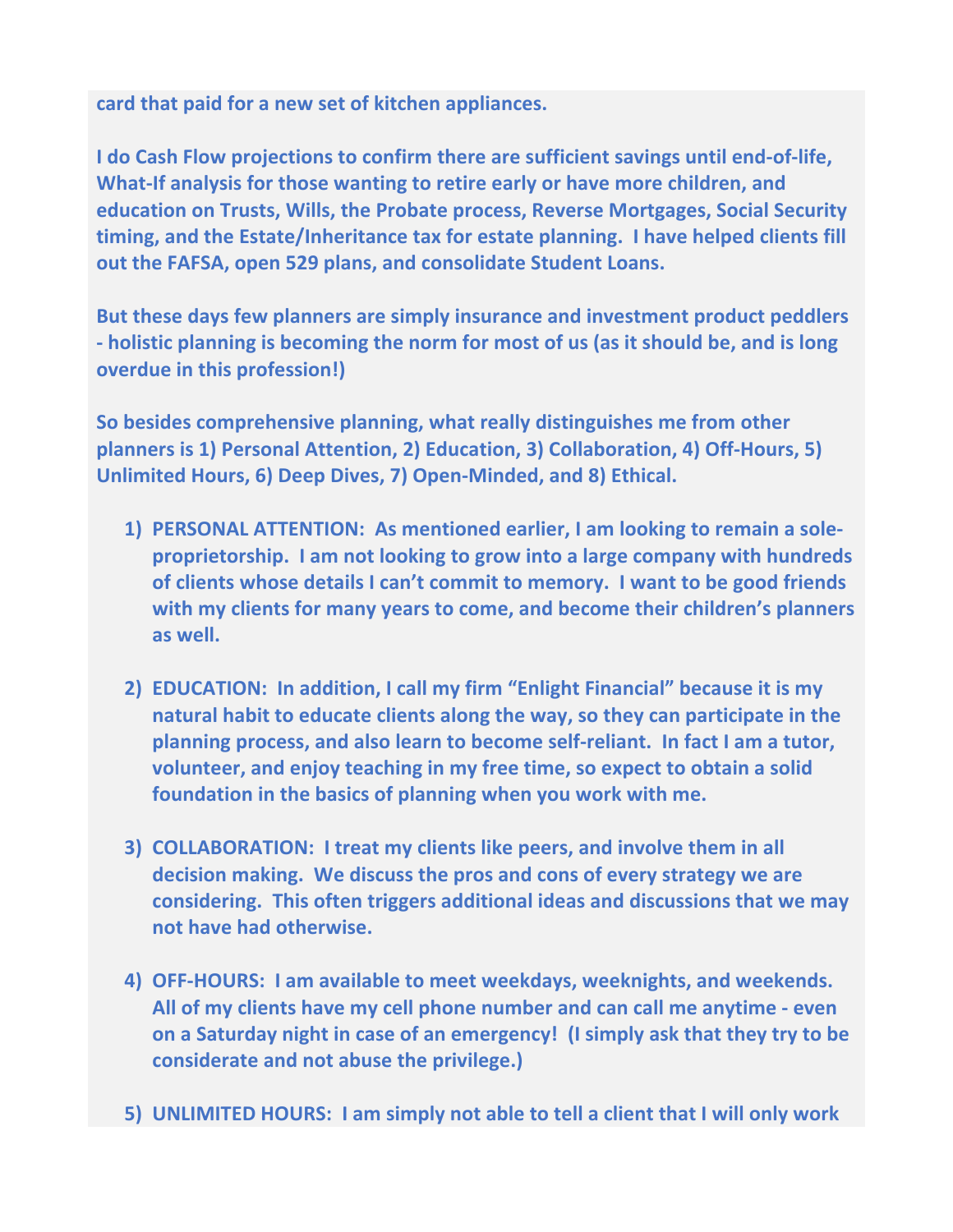card that paid for a new set of kitchen appliances.

**I** do Cash Flow projections to confirm there are sufficient savings until end-of-life, **What-If analysis for those wanting to retire early or have more children, and education on Trusts, Wills, the Probate process, Reverse Mortgages, Social Security timing, and the Estate/Inheritance tax for estate planning. I have helped clients fill out the FAFSA, open 529 plans, and consolidate Student Loans.** 

**But these days few planners are simply insurance and investment product peddlers** - holistic planning is becoming the norm for most of us (as it should be, and is long **overdue in this profession!)** 

So besides comprehensive planning, what really distinguishes me from other **planners is 1) Personal Attention, 2) Education, 3) Collaboration, 4) Off-Hours, 5)** Unlimited Hours, 6) Deep Dives, 7) Open-Minded, and 8) Ethical.

- **1)** PERSONAL ATTENTION: As mentioned earlier, I am looking to remain a sole**proprietorship.** I am not looking to grow into a large company with hundreds of clients whose details I can't commit to memory. I want to be good friends with my clients for many years to come, and become their children's planners as well.
- 2) **EDUCATION:** In addition, I call my firm "Enlight Financial" because it is my **natural habit to educate clients along the way, so they can participate in the planning process, and also learn to become self-reliant. In fact I am a tutor, volunteer, and enjoy teaching in my free time, so expect to obtain a solid** foundation in the basics of planning when you work with me.
- **3) COLLABORATION: I treat my clients like peers, and involve them in all** decision making. We discuss the pros and cons of every strategy we are considering. This often triggers additional ideas and discussions that we may not have had otherwise.
- **4) OFF-HOURS: I am available to meet weekdays, weeknights, and weekends.** All of my clients have my cell phone number and can call me anytime - even **on a Saturday night in case of an emergency! (I simply ask that they try to be considerate and not abuse the privilege.)**
- **5)** UNLIMITED HOURS: I am simply not able to tell a client that I will only work